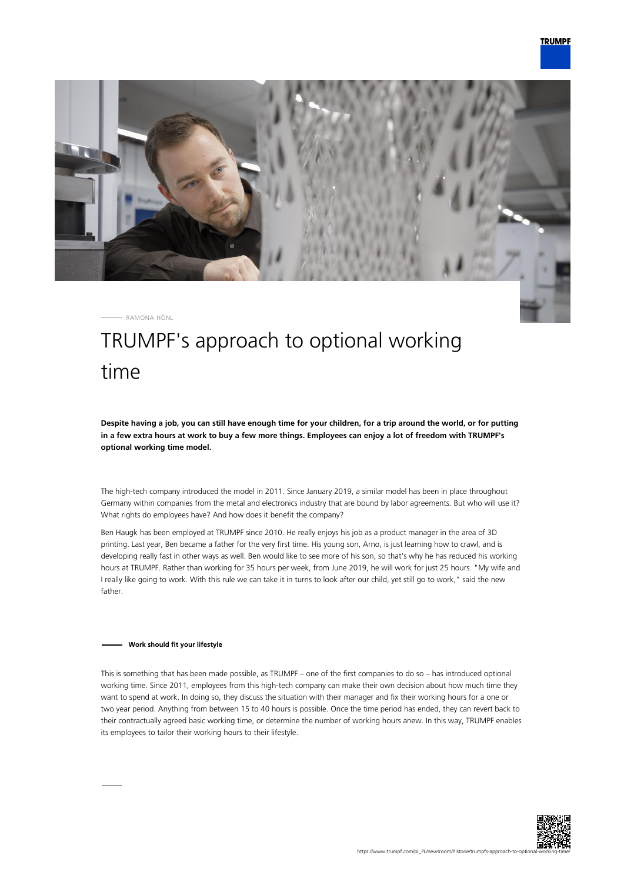

RAMONA HÖNL

# TRUMPF's approach to optional working time

**Despite having a job, you can still have enough time for your children, for a trip around the world, or for putting in a few extra hours at work to buy a few more things. Employees can enjoy a lot of freedom with TRUMPF's optional working time model.**

The high-tech company introduced the model in 2011. Since January 2019, a similar model has been in place throughout Germany within companies from the metal and electronics industry that are bound by labor agreements. But who will use it? What rights do employees have? And how does it benefit the company?

Ben Haugk has been employed at TRUMPF since 2010. He really enjoys his job as a product manager in the area of 3D printing. Last year, Ben became a father for the very first time. His young son, Arno, is just learning how to crawl, and is developing really fast in other ways as well. Ben would like to see more of his son, so that's why he has reduced his working hours at TRUMPF. Rather than working for 35 hours per week, from June 2019, he will work for just 25 hours. "My wife and I really like going to work. With this rule we can take it in turns to look after our child, yet still go to work," said the new father.

### **Work should fit your lifestyle**

This is something that has been made possible, as TRUMPF – one of the first companies to do so – has introduced optional working time. Since 2011, employees from this high-tech company can make their own decision about how much time they want to spend at work. In doing so, they discuss the situation with their manager and fix their working hours for a one or two year period. Anything from between 15 to 40 hours is possible. Once the time period has ended, they can revert back to their contractually agreed basic working time, or determine the number of working hours anew. In this way, TRUMPF enables its employees to tailor their working hours to their lifestyle.